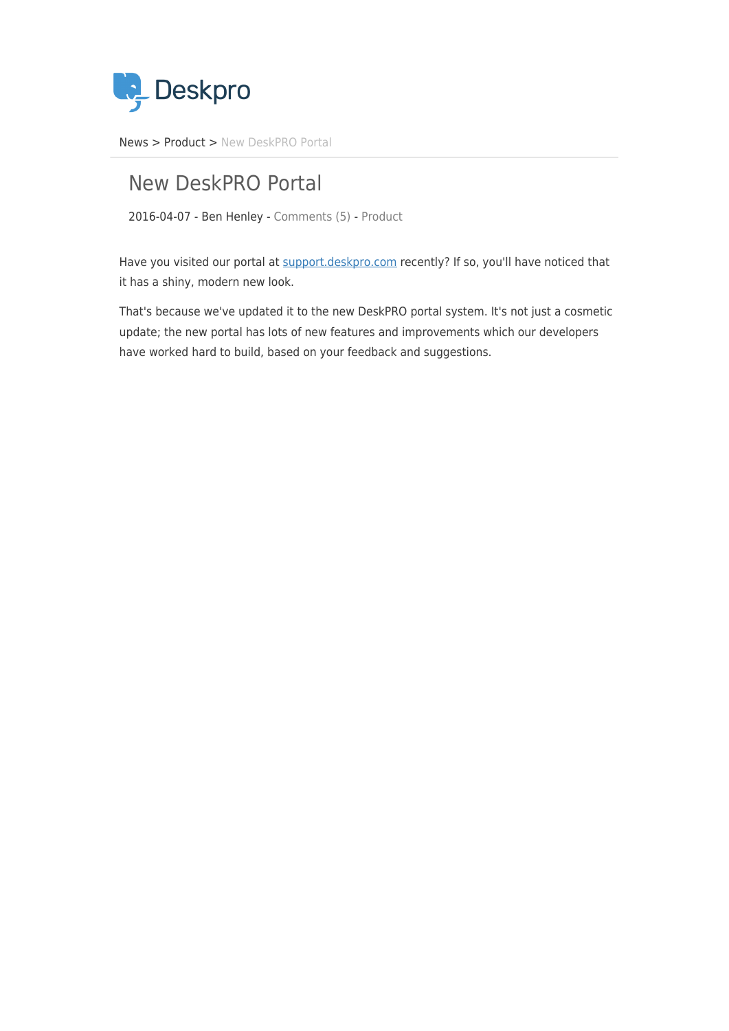

[News](https://support.deskpro.com/ro/news) > [Product](https://support.deskpro.com/ro/news/product) > [New DeskPRO Portal](https://support.deskpro.com/ro/news/posts/new-deskpro-portal)

# New DeskPRO Portal

2016-04-07 - Ben Henley - [Comments \(5\)](#page--1-0) - [Product](https://support.deskpro.com/ro/news/product)

Have you visited our portal at [support.deskpro.com](https://support.deskpro.com/) recently? If so, you'll have noticed that it has a shiny, modern new look.

That's because we've updated it to the new DeskPRO portal system. It's not just a cosmetic update; the new portal has lots of new features and improvements which our developers have worked hard to build, based on your feedback and suggestions.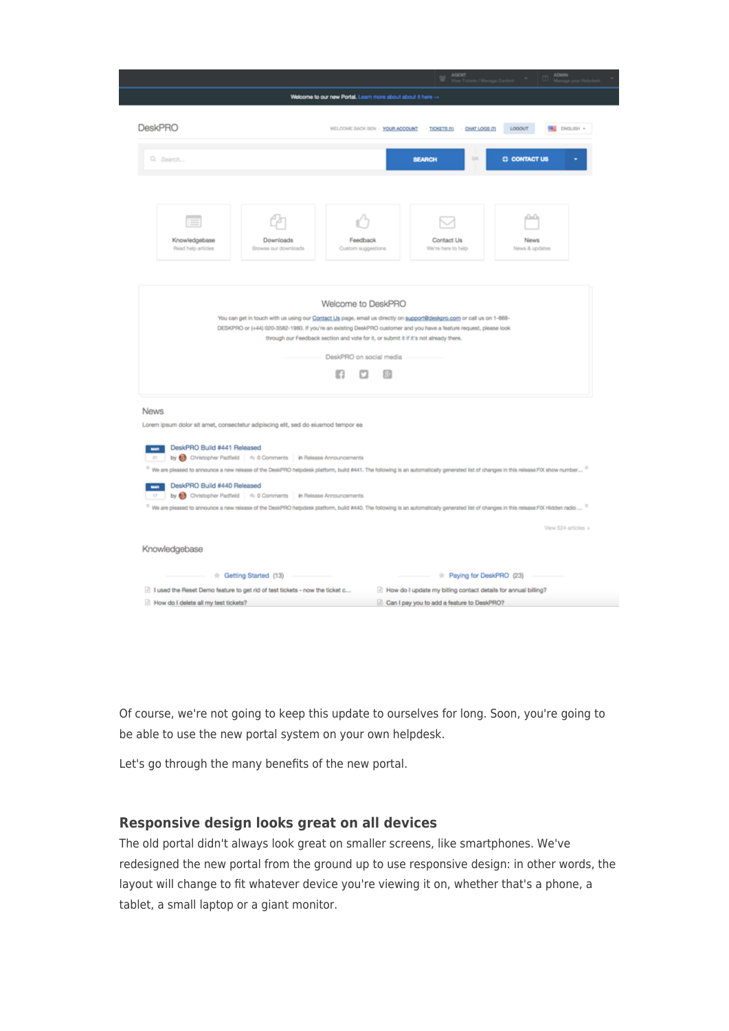|                                                                                                                                                                                                                                                                                                                                                                                                                    |                                                                                                                                                   | <b>AGENT</b>                                                   | <b>ADMIN</b>                  |
|--------------------------------------------------------------------------------------------------------------------------------------------------------------------------------------------------------------------------------------------------------------------------------------------------------------------------------------------------------------------------------------------------------------------|---------------------------------------------------------------------------------------------------------------------------------------------------|----------------------------------------------------------------|-------------------------------|
|                                                                                                                                                                                                                                                                                                                                                                                                                    | Welcome to our new Portal. Learn more about about it here -                                                                                       |                                                                |                               |
| <b>DeskPRO</b>                                                                                                                                                                                                                                                                                                                                                                                                     | WELCOME BACK BEN - YOUR ACCOUNT - TICKETS (1) - CHAT LOGS (7)                                                                                     |                                                                | LOGOUT<br><b>BE ENGLISH -</b> |
| Q. Search                                                                                                                                                                                                                                                                                                                                                                                                          |                                                                                                                                                   | on<br><b>SEARCH</b>                                            | <b>C CONTACT US</b>           |
| Knowledgebase<br>Downloads<br>Read help articles<br>Browse our downloads                                                                                                                                                                                                                                                                                                                                           | Feedback<br>Custom suggestions                                                                                                                    | Contact Us<br>We're here to help                               | ക<br>News.<br>News & updates  |
| You can get in touch with us using our Contact Us page, email us directly on support@deskpro.com or call us on 1-888-<br>DESKPRO or (+44) 020-3582-1980. If you're an existing DeskPRO customer and you have a feature request, please look                                                                                                                                                                        | Welcome to DeskPRO<br>through our Feedback section and vote for it, or submit it if it's not already there.<br>DeskPRO on social media<br>E3<br>闷 |                                                                |                               |
| <b>News</b><br>Lorem ipsum dolor sit amet, consectetur adipiscing elit, sed do eiusmod tempor ea<br>DeskPRO Build #441 Released<br>by Christopher Padfield   = 0 Comments   in Release Announcements<br>25<br>11 We are pleased to announce a new release of the DeskPRO helpdesk platform, build #441. The following is an automatically generated list of changes in this release. FDX show number <sup>11</sup> |                                                                                                                                                   |                                                                |                               |
| DeskPRO Build #440 Released<br><b>MADE:</b><br>by Christopher Padfield 4: 0 Comments in Release Announcements<br>17<br>11 We are pleased to announce a new release of the DeskPRO helpdesk platform, build #440. The following is an automatically generated list of changes in this release:FIX Hidden radio  11                                                                                                  |                                                                                                                                                   |                                                                | View 524 articles »           |
| Knowledgebase                                                                                                                                                                                                                                                                                                                                                                                                      |                                                                                                                                                   |                                                                |                               |
| # Getting Started (13)                                                                                                                                                                                                                                                                                                                                                                                             |                                                                                                                                                   | # Paying for DeskPRO (23)                                      |                               |
| 1 used the Reset Demo feature to get rid of test tickets - now the ticket c                                                                                                                                                                                                                                                                                                                                        |                                                                                                                                                   | How do I update my billing contact details for annual billing? |                               |
| How do I delete all my test tickets?                                                                                                                                                                                                                                                                                                                                                                               |                                                                                                                                                   | Can I pay you to add a feature to DeskPRO?                     |                               |

Of course, we're not going to keep this update to ourselves for long. Soon, you're going to be able to use the new portal system on your own helpdesk.

Let's go through the many benefits of the new portal.

## **Responsive design looks great on all devices**

The old portal didn't always look great on smaller screens, like smartphones. We've redesigned the new portal from the ground up to use responsive design: in other words, the layout will change to fit whatever device you're viewing it on, whether that's a phone, a tablet, a small laptop or a giant monitor.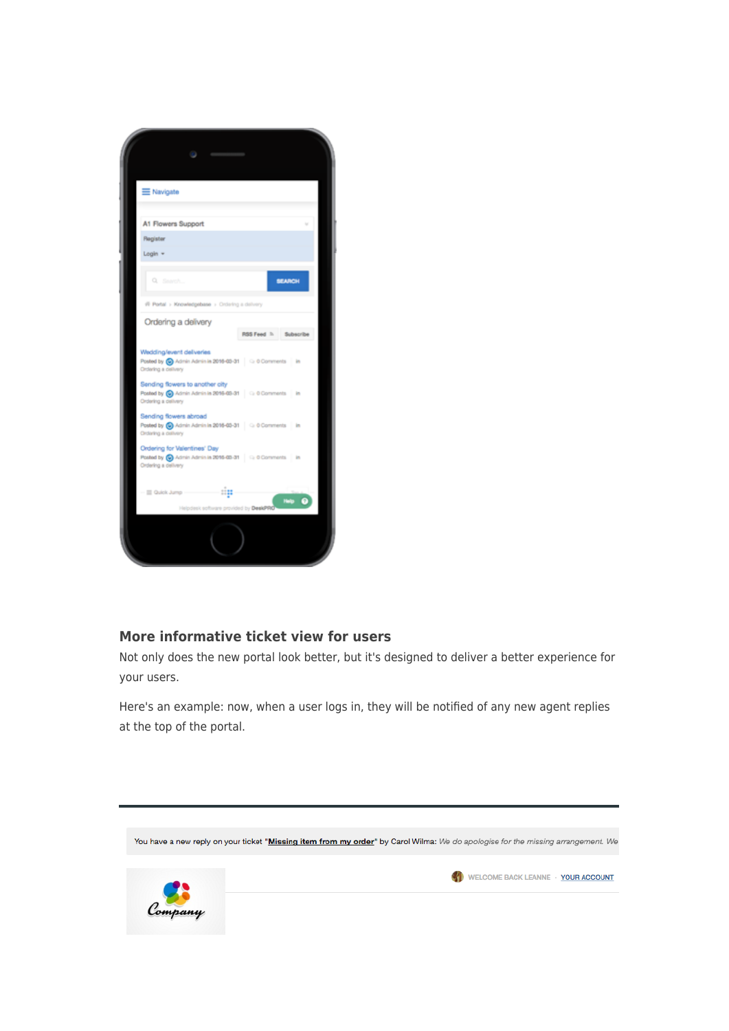

# **More informative ticket view for users**

Not only does the new portal look better, but it's designed to deliver a better experience for your users.

Here's an example: now, when a user logs in, they will be notified of any new agent replies at the top of the portal.

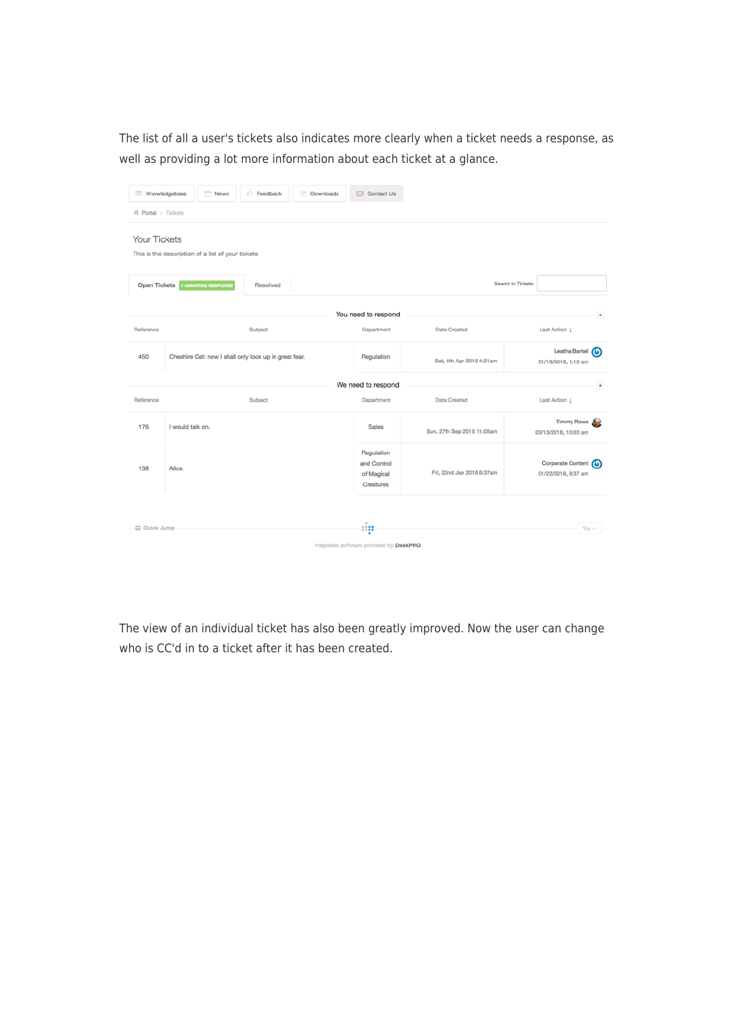The list of all a user's tickets also indicates more clearly when a ticket needs a response, as well as providing a lot more information about each ticket at a glance.

| Knowledgebase                                                                | News<br><b>Feedback</b>                               | <b>Downloads</b><br>□ Contact Us                     |                            |                                                   |  |  |  |  |
|------------------------------------------------------------------------------|-------------------------------------------------------|------------------------------------------------------|----------------------------|---------------------------------------------------|--|--|--|--|
| 骨 Portal > Tickets                                                           |                                                       |                                                      |                            |                                                   |  |  |  |  |
| <b>Your Tickets</b><br>This is the description of a list of your tickets     |                                                       |                                                      |                            |                                                   |  |  |  |  |
| <b>Open Tickets</b>                                                          | <b>1 AWAITING RESPONSE</b><br>Resolved                |                                                      |                            | Search in Tickets:                                |  |  |  |  |
|                                                                              |                                                       | You need to respond                                  |                            | $\bullet$                                         |  |  |  |  |
| Reference                                                                    | Subject                                               | Department                                           | <b>Date Created</b>        | Last Action 1                                     |  |  |  |  |
| 450                                                                          | Cheshire Cat: now I shall only look up in great fear. | Regulation                                           | Sat, 4th Apr 2015 4:21am   | Leatha Bartell (<br>01/19/2016, 1:10 am           |  |  |  |  |
|                                                                              |                                                       | We need to respond                                   |                            | $\bullet$                                         |  |  |  |  |
| Reference                                                                    | Subject                                               | Department                                           | <b>Date Created</b>        | Last Action                                       |  |  |  |  |
| 176                                                                          | I would talk on.                                      | Sales                                                | Sun, 27th Sep 2015 11:05am | <b>Timmy Rowe</b><br>de e<br>03/13/2016, 10:03 am |  |  |  |  |
| 138                                                                          | Alice.                                                | Regulation<br>and Control<br>of Magical<br>Creatures | Fri, 22nd Jan 2016 8:37am  | Corporate Content (0)<br>01/22/2016, 8:37 am      |  |  |  |  |
| :ip<br>$\equiv$ Quick Jump<br>Top A<br>Helpdesk software provided by DeskPRO |                                                       |                                                      |                            |                                                   |  |  |  |  |

The view of an individual ticket has also been greatly improved. Now the user can change who is CC'd in to a ticket after it has been created.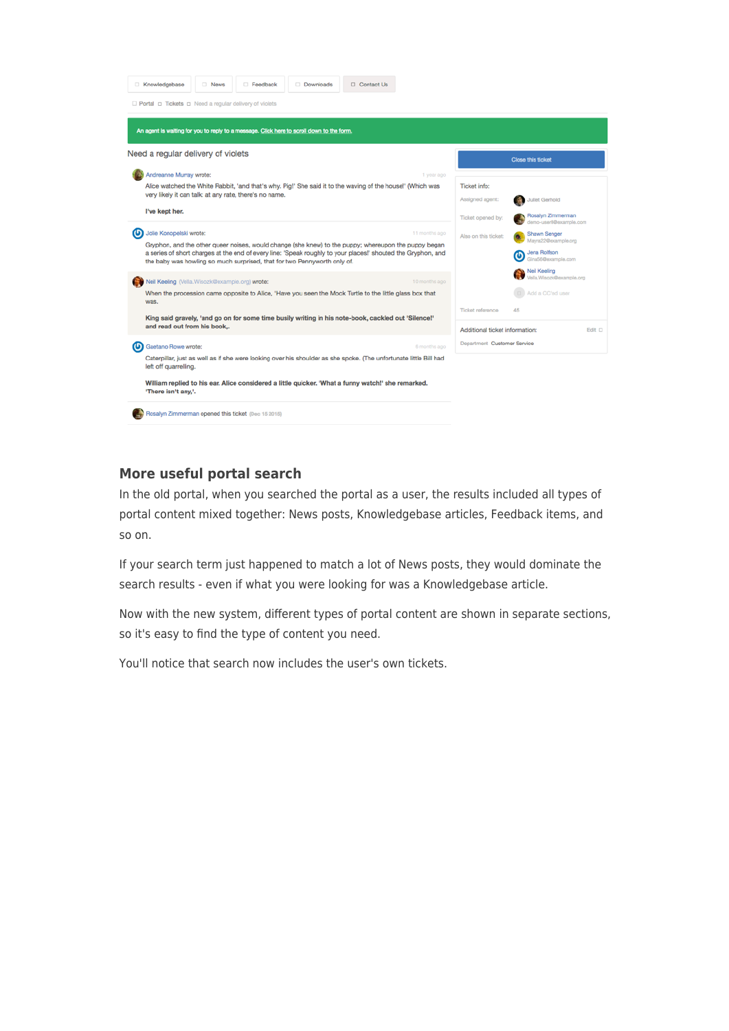

# **More useful portal search**

In the old portal, when you searched the portal as a user, the results included all types of portal content mixed together: News posts, Knowledgebase articles, Feedback items, and so on.

If your search term just happened to match a lot of News posts, they would dominate the search results - even if what you were looking for was a Knowledgebase article.

Now with the new system, different types of portal content are shown in separate sections, so it's easy to find the type of content you need.

You'll notice that search now includes the user's own tickets.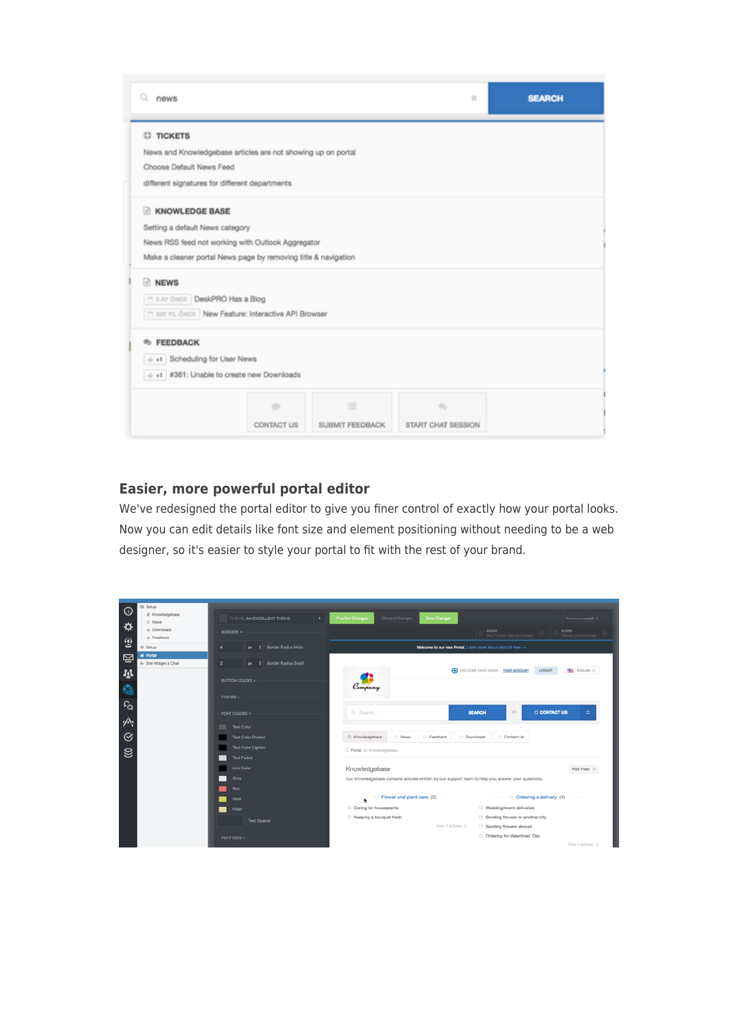| news<br>Q.                                                     |                   |                        | $\mathbb{M}$              | <b>SEARCH</b> |  |
|----------------------------------------------------------------|-------------------|------------------------|---------------------------|---------------|--|
| <b>C</b> TICKETS                                               |                   |                        |                           |               |  |
| News and Knowledgebase articles are not showing up on portal   |                   |                        |                           |               |  |
| Choose Default News Feed                                       |                   |                        |                           |               |  |
| different signatures for different departments                 |                   |                        |                           |               |  |
| <b>KNOWLEDGE BASE</b><br>m                                     |                   |                        |                           |               |  |
| Setting a default News category                                |                   |                        |                           |               |  |
| News RSS feed not working with Outlook Aggregator              |                   |                        |                           |               |  |
| Make a cleaner portal News page by removing title & navigation |                   |                        |                           |               |  |
| <b>NEWS</b><br>m.                                              |                   |                        |                           |               |  |
| C 9 AY ÖNCE DeskPRO Has a Blog                                 |                   |                        |                           |               |  |
| <b>CO BIR YIL ÖNCE New Feature: Interactive API Browser</b>    |                   |                        |                           |               |  |
| <b>FEEDBACK</b><br>÷.                                          |                   |                        |                           |               |  |
| ++++ Scheduling for User News                                  |                   |                        |                           |               |  |
| + +1 #361: Unable to create new Downloads                      |                   |                        |                           |               |  |
|                                                                |                   |                        |                           |               |  |
|                                                                | $\Rightarrow$     | 僵                      | $\Rightarrow$             |               |  |
|                                                                | <b>CONTACT US</b> | <b>SUBMIT FEEDBACK</b> | <b>START CHAT SESSION</b> |               |  |
|                                                                |                   |                        |                           |               |  |

# **Easier, more powerful portal editor**

We've redesigned the portal editor to give you finer control of exactly how your portal looks. Now you can edit details like font size and element positioning without needing to be a web designer, so it's easier to style your portal to fit with the rest of your brand.

| $\circ$<br>₿      | III Setup<br>El Knowledgebase<br>C) News<br>A. Downloads<br>di Feedback | ۰<br>THEME: AN EXCELLENT THEME<br>BORDERS +         | Discard Changes<br>Save Changes<br><b>Preview Changes</b><br>Preview as myself<br><b>AGENT</b><br>ADMIN<br>Manage your Helpdesk<br>View Tickets / Manage Owners |
|-------------------|-------------------------------------------------------------------------|-----------------------------------------------------|-----------------------------------------------------------------------------------------------------------------------------------------------------------------|
| $\mathbf{C}$      | 0 Setup                                                                 | Border Radius Main<br>A<br>$-$                      | Welcome to our new Portal, Learn more about about it here --                                                                                                    |
| 图                 | # Portal<br>6- Site Widget & Chat                                       | $\overline{2}$<br><b>Border Radius Small</b><br>$-$ |                                                                                                                                                                 |
| 昼<br>$\mathbf{C}$ |                                                                         | BUTTON COLORS »<br>COLORS +                         | WELCOME BACK ADMIN - YOUR ACCOUNT<br><b>DE ENGLISH D</b><br>LOGOUT<br>Company                                                                                   |
| $\Omega$<br>灬     |                                                                         | FONT COLORS =<br><b>Text Color</b>                  | OR.<br><b>CONTACT US</b><br>D Search<br><b>SEARCH</b><br>$\Box$                                                                                                 |
| $\odot$           |                                                                         | <b>Text Color Darker</b>                            | C Knowledgebase<br>O News<br><b>Feedback</b><br>Downloads<br>Contact Us                                                                                         |
| $\mathbf{S}$      |                                                                         | <b>Text Color Lighter</b><br><b>Text Faded</b>      | <b>D</b> Portal p Knowledgebase                                                                                                                                 |
|                   |                                                                         | Link Color                                          | Knowledgebase<br>RSS Feed D                                                                                                                                     |
|                   |                                                                         | Grey                                                | Our knowledgebase contains articles written by our support team to help you answer your questions.                                                              |
|                   |                                                                         | Red<br>Gold                                         | Flower and plant care (2)<br>Ordering a delivery (4)                                                                                                            |
|                   |                                                                         | Filter                                              | Caring for houseplants<br>□ Wedding/event deliveries                                                                                                            |
|                   |                                                                         | <b>Text Opacue</b>                                  | □ Keeping a bouquet fresh<br>Sending flowers to another city<br>View 2 articles (2)<br>□ Sending flowers abroad                                                 |
|                   |                                                                         | FONT SIZES »                                        | C Ordering for Valentines' Day<br>View 4 articles (C)                                                                                                           |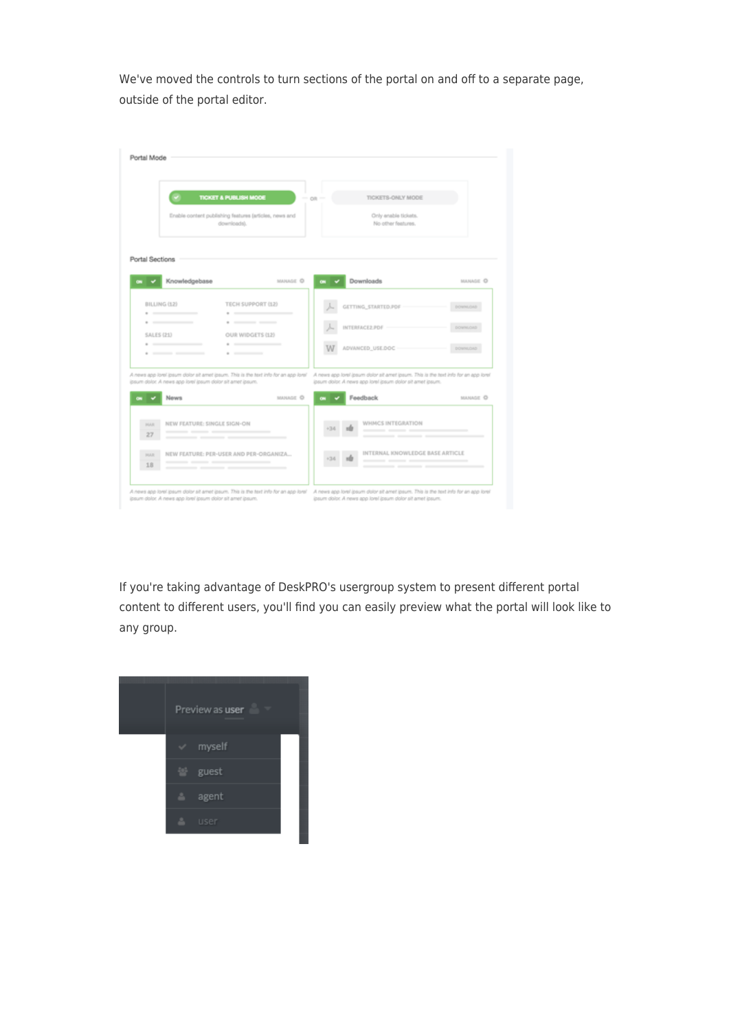We've moved the controls to turn sections of the portal on and off to a separate page, outside of the portal editor.

|                   | <b>TICKET &amp; PUBLISH MODE</b>                                                                                                                                                | $-01 -$ | TICKETS-ONLY MODE                                                                   |                 |
|-------------------|---------------------------------------------------------------------------------------------------------------------------------------------------------------------------------|---------|-------------------------------------------------------------------------------------|-----------------|
|                   | Enable content publishing features (articles, news and<br>downloads).                                                                                                           |         | Only enable tickets.<br>No other features.                                          |                 |
| Portal Sections   | Knowledgebase<br>MANAGE O                                                                                                                                                       | œ.      | Downloads                                                                           | MANAGE O        |
| BILLING (12)      | TECH SUPPORT (12)                                                                                                                                                               |         | GETTING, STARTED.PDF                                                                | <b>DOWNLOAD</b> |
| SALES (21)        | OUR WIDGETS (12)                                                                                                                                                                |         | INTERFACE2.PDF -                                                                    |                 |
|                   | $\cdots$<br>$\cdots$<br>$\cdots$                                                                                                                                                |         | ADVANCED_USE.DOC -                                                                  | DOWNLOAD        |
|                   |                                                                                                                                                                                 |         | A news app lorel ipsum dolor sit amet ipsum. This is the text info for an app lorel |                 |
|                   | A news app lorel losum dolor sit amet ipsum. This is the text info for an app lorel<br>ipsum dolor. A news app lorel ipsum dolor sit amet ipsum.<br>MANAGE <sup>O</sup><br>News | œ.      | ipsum dolor. A news app lorel ipsum dolor sit amet ipsum.<br>Feedback               | MANAGE O        |
| <b>HIAR</b><br>27 | NEW FEATURE: SINGLE SIGN-ON<br>_______<br>_______                                                                                                                               |         | WHMCS INTEGRATION<br>__________                                                     |                 |

If you're taking advantage of DeskPRO's usergroup system to present different portal content to different users, you'll find you can easily preview what the portal will look like to any group.

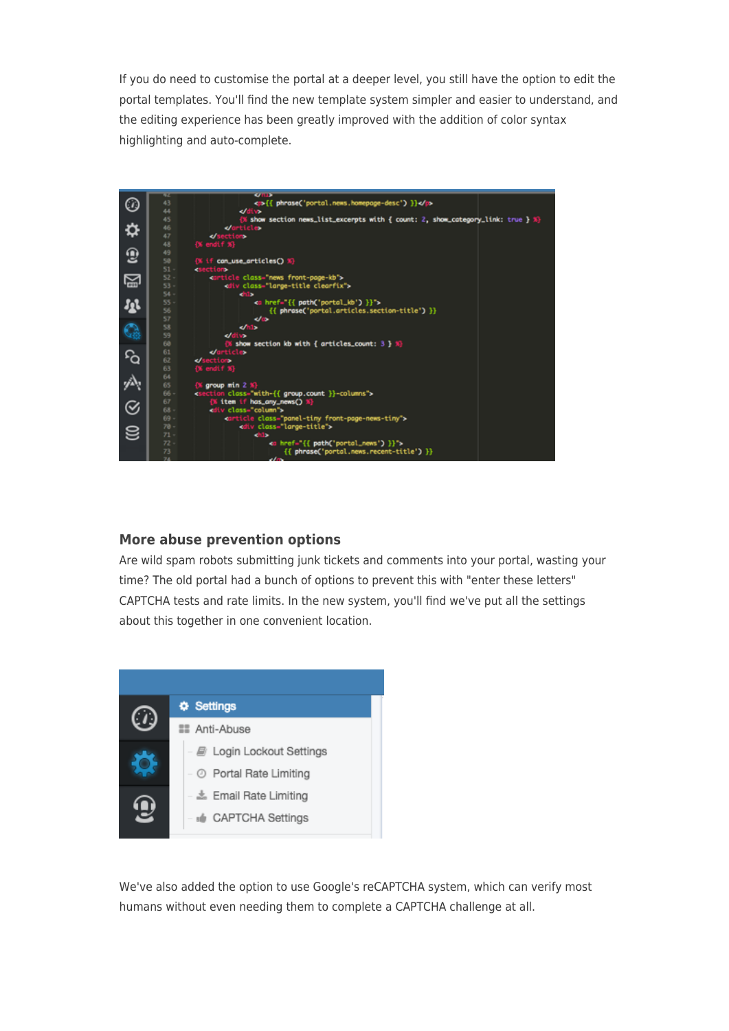If you do need to customise the portal at a deeper level, you still have the option to edit the portal templates. You'll find the new template system simpler and easier to understand, and the editing experience has been greatly improved with the addition of color syntax highlighting and auto-complete.



## **More abuse prevention options**

Are wild spam robots submitting junk tickets and comments into your portal, wasting your time? The old portal had a bunch of options to prevent this with "enter these letters" CAPTCHA tests and rate limits. In the new system, you'll find we've put all the settings about this together in one convenient location.



We've also added the option to use Google's reCAPTCHA system, which can verify most humans without even needing them to complete a CAPTCHA challenge at all.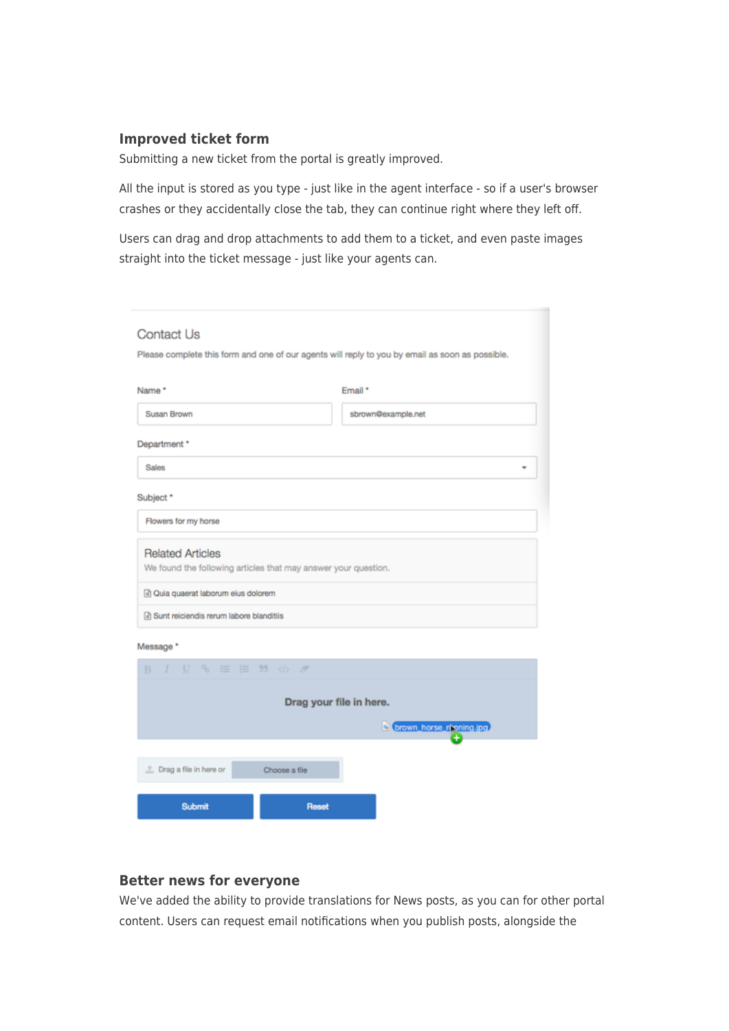## **Improved ticket form**

Submitting a new ticket from the portal is greatly improved.

All the input is stored as you type - just like in the agent interface - so if a user's browser crashes or they accidentally close the tab, they can continue right where they left off.

Users can drag and drop attachments to add them to a ticket, and even paste images straight into the ticket message - just like your agents can.

| Contact Us<br>Please complete this form and one of our agents will reply to you by email as soon as possible. |                    |  |  |  |  |
|---------------------------------------------------------------------------------------------------------------|--------------------|--|--|--|--|
| Name*                                                                                                         | Email *            |  |  |  |  |
| Susan Brown                                                                                                   | sbrown@example.net |  |  |  |  |
| Department *                                                                                                  |                    |  |  |  |  |
| <b>Sales</b>                                                                                                  |                    |  |  |  |  |
| Subject *                                                                                                     |                    |  |  |  |  |
| Flowers for my horse                                                                                          |                    |  |  |  |  |
| <b>Related Articles</b><br>We found the following articles that may answer your question.                     |                    |  |  |  |  |
| a Quia quaerat laborum eius dolorem                                                                           |                    |  |  |  |  |
| a) Sunt reiciendis rerum labore blanditiis                                                                    |                    |  |  |  |  |

#### Message \*

|  |               |                                     |  |       |                                                                                          | b brown horse rhaning.jpg |                         |
|--|---------------|-------------------------------------|--|-------|------------------------------------------------------------------------------------------|---------------------------|-------------------------|
|  |               |                                     |  |       |                                                                                          |                           |                         |
|  |               |                                     |  |       |                                                                                          |                           |                         |
|  |               |                                     |  |       |                                                                                          |                           |                         |
|  |               |                                     |  | Reset |                                                                                          |                           |                         |
|  | <b>Submit</b> | <sup>上</sup> Drag a file in here or |  |       | $I$ $\cup$ $\%$ $\equiv$ $\equiv$ $\frac{m}{2}$ $\otimes$ $\frac{m}{2}$<br>Choose a file |                           | Drag your file in here. |

# **Better news for everyone**

We've added the ability to provide translations for News posts, as you can for other portal content. Users can request email notifications when you publish posts, alongside the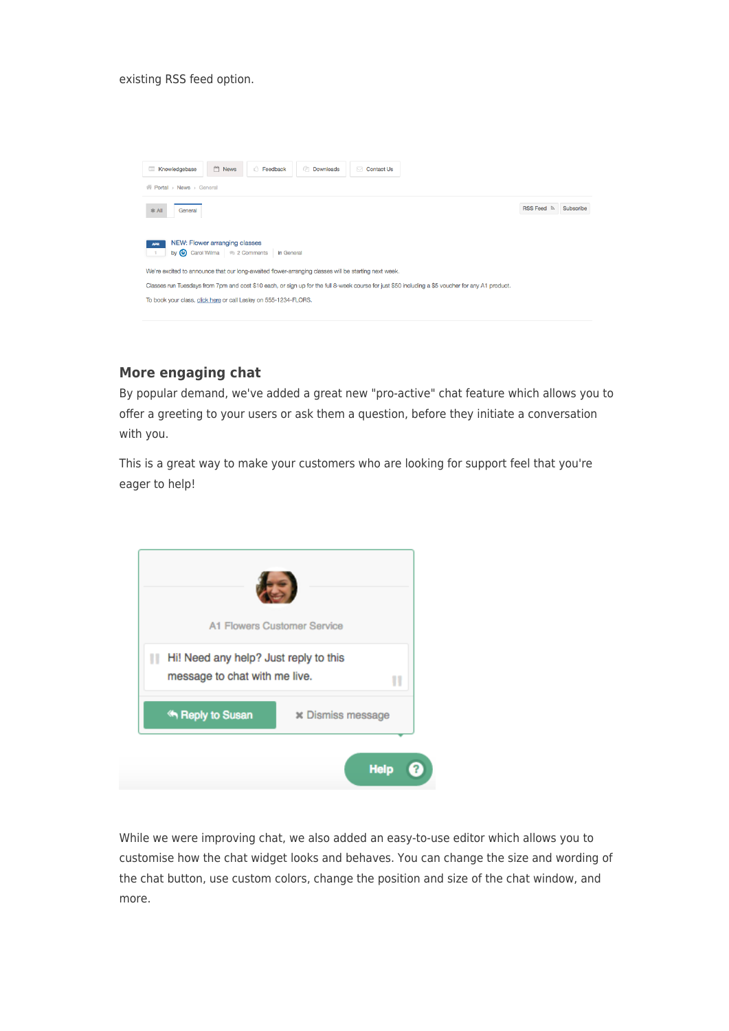existing RSS feed option.



# **More engaging chat**

By popular demand, we've added a great new "pro-active" chat feature which allows you to offer a greeting to your users or ask them a question, before they initiate a conversation with you.

This is a great way to make your customers who are looking for support feel that you're eager to help!



While we were improving chat, we also added an easy-to-use editor which allows you to customise how the chat widget looks and behaves. You can change the size and wording of the chat button, use custom colors, change the position and size of the chat window, and more.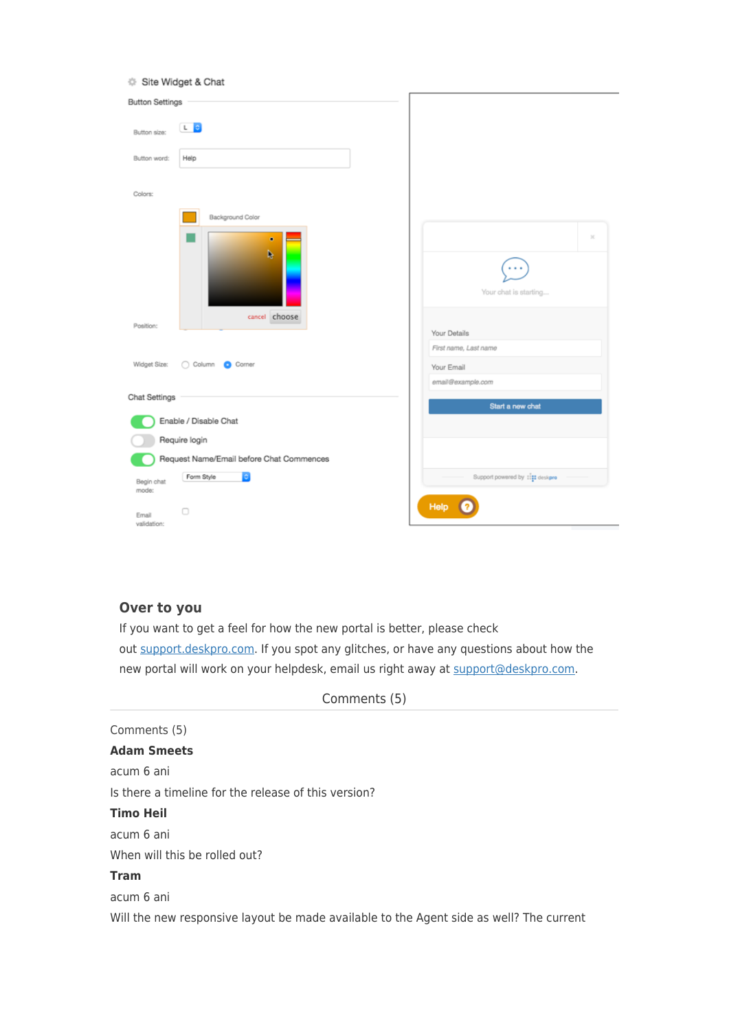|  | Site Widget & Chat |  |
|--|--------------------|--|
|  |                    |  |

| <b>Button Settings</b>                   |                                  |
|------------------------------------------|----------------------------------|
| L 0<br>Button size:                      |                                  |
| Button word:<br>Help                     |                                  |
| Colors:                                  |                                  |
| Background Color                         |                                  |
| ۰<br>h                                   | $\mathcal{M}$                    |
|                                          | Your chat is starting            |
| cancel choose<br>Position:               | Your Details                     |
|                                          | First name, Last name            |
| Widget Size:<br>Column C Corner          | Your Email                       |
|                                          | email@example.com                |
| Chat Settings                            |                                  |
| Enable / Disable Chat                    | Start a new chat                 |
| Require login                            |                                  |
|                                          |                                  |
| Request Name/Email before Chat Commences |                                  |
| Form Style<br>٠<br>Begin chat<br>mode:   | Support powered by : 111 deskpro |
| o<br>Email<br>validation:                | Help                             |

# **Over to you**

If you want to get a feel for how the new portal is better, please check out [support.deskpro.com.](https://support.deskpro.com/) If you spot any glitches, or have any questions about how the new portal will work on your helpdesk, email us right away at [support@deskpro.com.](mailto:support@deskpro.com)

Comments (5) **Adam Smeets** acum 6 ani Is there a timeline for the release of this version? **Timo Heil** acum 6 ani When will this be rolled out? **Tram** acum 6 ani Will the new responsive layout be made available to the Agent side as well? The current